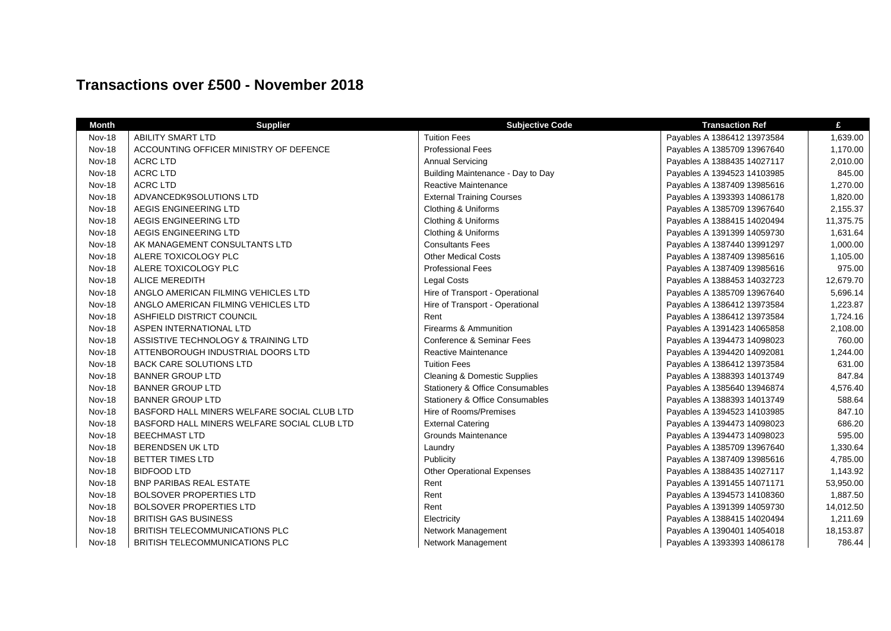## **Transactions over £500 - November 2018**

| <b>Month</b>  | <b>Supplier</b>                             | <b>Subjective Code</b>                  | <b>Transaction Ref</b>      | £         |
|---------------|---------------------------------------------|-----------------------------------------|-----------------------------|-----------|
| <b>Nov-18</b> | <b>ABILITY SMART LTD</b>                    | <b>Tuition Fees</b>                     | Payables A 1386412 13973584 | 1,639.00  |
| <b>Nov-18</b> | ACCOUNTING OFFICER MINISTRY OF DEFENCE      | <b>Professional Fees</b>                | Payables A 1385709 13967640 | 1,170.00  |
| <b>Nov-18</b> | <b>ACRC LTD</b>                             | <b>Annual Servicing</b>                 | Payables A 1388435 14027117 | 2,010.00  |
| <b>Nov-18</b> | <b>ACRC LTD</b>                             | Building Maintenance - Day to Day       | Payables A 1394523 14103985 | 845.00    |
| <b>Nov-18</b> | <b>ACRC LTD</b>                             | Reactive Maintenance                    | Payables A 1387409 13985616 | 1,270.00  |
| <b>Nov-18</b> | ADVANCEDK9SOLUTIONS LTD                     | <b>External Training Courses</b>        | Payables A 1393393 14086178 | 1,820.00  |
| <b>Nov-18</b> | AEGIS ENGINEERING LTD                       | Clothing & Uniforms                     | Payables A 1385709 13967640 | 2,155.37  |
| <b>Nov-18</b> | AEGIS ENGINEERING LTD                       | Clothing & Uniforms                     | Payables A 1388415 14020494 | 11,375.75 |
| <b>Nov-18</b> | AEGIS ENGINEERING LTD                       | Clothing & Uniforms                     | Payables A 1391399 14059730 | 1,631.64  |
| <b>Nov-18</b> | AK MANAGEMENT CONSULTANTS LTD               | <b>Consultants Fees</b>                 | Payables A 1387440 13991297 | 1,000.00  |
| <b>Nov-18</b> | ALERE TOXICOLOGY PLC                        | <b>Other Medical Costs</b>              | Payables A 1387409 13985616 | 1,105.00  |
| <b>Nov-18</b> | ALERE TOXICOLOGY PLC                        | <b>Professional Fees</b>                | Payables A 1387409 13985616 | 975.00    |
| Nov-18        | <b>ALICE MEREDITH</b>                       | <b>Legal Costs</b>                      | Payables A 1388453 14032723 | 12,679.70 |
| Nov-18        | ANGLO AMERICAN FILMING VEHICLES LTD         | Hire of Transport - Operational         | Payables A 1385709 13967640 | 5,696.14  |
| <b>Nov-18</b> | ANGLO AMERICAN FILMING VEHICLES LTD         | Hire of Transport - Operational         | Payables A 1386412 13973584 | 1,223.87  |
| <b>Nov-18</b> | ASHFIELD DISTRICT COUNCIL                   | Rent                                    | Payables A 1386412 13973584 | 1,724.16  |
| <b>Nov-18</b> | ASPEN INTERNATIONAL LTD                     | Firearms & Ammunition                   | Payables A 1391423 14065858 | 2,108.00  |
| <b>Nov-18</b> | ASSISTIVE TECHNOLOGY & TRAINING LTD         | Conference & Seminar Fees               | Payables A 1394473 14098023 | 760.00    |
| <b>Nov-18</b> | ATTENBOROUGH INDUSTRIAL DOORS LTD           | Reactive Maintenance                    | Payables A 1394420 14092081 | 1,244.00  |
| <b>Nov-18</b> | <b>BACK CARE SOLUTIONS LTD</b>              | <b>Tuition Fees</b>                     | Payables A 1386412 13973584 | 631.00    |
| <b>Nov-18</b> | <b>BANNER GROUP LTD</b>                     | <b>Cleaning &amp; Domestic Supplies</b> | Payables A 1388393 14013749 | 847.84    |
| <b>Nov-18</b> | <b>BANNER GROUP LTD</b>                     | Stationery & Office Consumables         | Payables A 1385640 13946874 | 4,576.40  |
| <b>Nov-18</b> | <b>BANNER GROUP LTD</b>                     | Stationery & Office Consumables         | Payables A 1388393 14013749 | 588.64    |
| <b>Nov-18</b> | BASFORD HALL MINERS WELFARE SOCIAL CLUB LTD | Hire of Rooms/Premises                  | Payables A 1394523 14103985 | 847.10    |
| <b>Nov-18</b> | BASFORD HALL MINERS WELFARE SOCIAL CLUB LTD | <b>External Catering</b>                | Payables A 1394473 14098023 | 686.20    |
| <b>Nov-18</b> | <b>BEECHMAST LTD</b>                        | <b>Grounds Maintenance</b>              | Payables A 1394473 14098023 | 595.00    |
| <b>Nov-18</b> | <b>BERENDSEN UK LTD</b>                     | Laundry                                 | Payables A 1385709 13967640 | 1,330.64  |
| <b>Nov-18</b> | <b>BETTER TIMES LTD</b>                     | Publicity                               | Payables A 1387409 13985616 | 4,785.00  |
| <b>Nov-18</b> | <b>BIDFOOD LTD</b>                          | <b>Other Operational Expenses</b>       | Payables A 1388435 14027117 | 1,143.92  |
| <b>Nov-18</b> | <b>BNP PARIBAS REAL ESTATE</b>              | Rent                                    | Payables A 1391455 14071171 | 53,950.00 |
| <b>Nov-18</b> | <b>BOLSOVER PROPERTIES LTD</b>              | Rent                                    | Payables A 1394573 14108360 | 1,887.50  |
| Nov-18        | <b>BOLSOVER PROPERTIES LTD</b>              | Rent                                    | Payables A 1391399 14059730 | 14,012.50 |
| Nov-18        | <b>BRITISH GAS BUSINESS</b>                 | Electricity                             | Payables A 1388415 14020494 | 1,211.69  |
| <b>Nov-18</b> | BRITISH TELECOMMUNICATIONS PLC              | Network Management                      | Payables A 1390401 14054018 | 18,153.87 |
| <b>Nov-18</b> | BRITISH TELECOMMUNICATIONS PLC              | Network Management                      | Payables A 1393393 14086178 | 786.44    |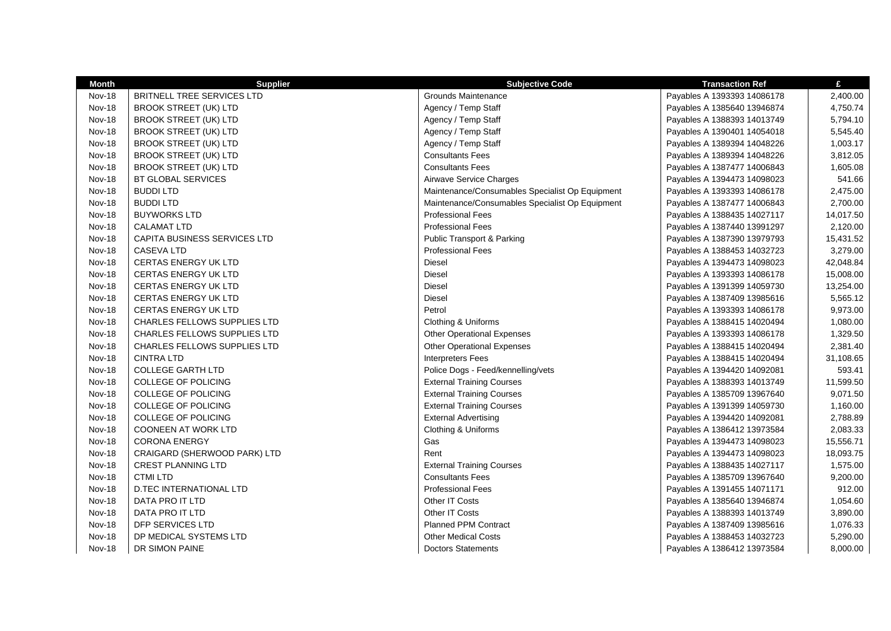| <b>Month</b>  | <b>Supplier</b>                     | <b>Subjective Code</b>                          | <b>Transaction Ref</b>      | £         |
|---------------|-------------------------------------|-------------------------------------------------|-----------------------------|-----------|
| <b>Nov-18</b> | BRITNELL TREE SERVICES LTD          | <b>Grounds Maintenance</b>                      | Payables A 1393393 14086178 | 2,400.00  |
| <b>Nov-18</b> | <b>BROOK STREET (UK) LTD</b>        | Agency / Temp Staff                             | Payables A 1385640 13946874 | 4,750.74  |
| <b>Nov-18</b> | <b>BROOK STREET (UK) LTD</b>        | Agency / Temp Staff                             | Payables A 1388393 14013749 | 5,794.10  |
| <b>Nov-18</b> | <b>BROOK STREET (UK) LTD</b>        | Agency / Temp Staff                             | Payables A 1390401 14054018 | 5,545.40  |
| <b>Nov-18</b> | <b>BROOK STREET (UK) LTD</b>        | Agency / Temp Staff                             | Payables A 1389394 14048226 | 1,003.17  |
| <b>Nov-18</b> | <b>BROOK STREET (UK) LTD</b>        | <b>Consultants Fees</b>                         | Payables A 1389394 14048226 | 3,812.05  |
| <b>Nov-18</b> | <b>BROOK STREET (UK) LTD</b>        | <b>Consultants Fees</b>                         | Payables A 1387477 14006843 | 1,605.08  |
| <b>Nov-18</b> | <b>BT GLOBAL SERVICES</b>           | Airwave Service Charges                         | Payables A 1394473 14098023 | 541.66    |
| <b>Nov-18</b> | <b>BUDDILTD</b>                     | Maintenance/Consumables Specialist Op Equipment | Payables A 1393393 14086178 | 2,475.00  |
| <b>Nov-18</b> | <b>BUDDILTD</b>                     | Maintenance/Consumables Specialist Op Equipment | Payables A 1387477 14006843 | 2,700.00  |
| <b>Nov-18</b> | <b>BUYWORKS LTD</b>                 | <b>Professional Fees</b>                        | Payables A 1388435 14027117 | 14,017.50 |
| <b>Nov-18</b> | <b>CALAMAT LTD</b>                  | <b>Professional Fees</b>                        | Payables A 1387440 13991297 | 2,120.00  |
| <b>Nov-18</b> | CAPITA BUSINESS SERVICES LTD        | <b>Public Transport &amp; Parking</b>           | Payables A 1387390 13979793 | 15,431.52 |
| <b>Nov-18</b> | <b>CASEVA LTD</b>                   | <b>Professional Fees</b>                        | Payables A 1388453 14032723 | 3,279.00  |
| <b>Nov-18</b> | <b>CERTAS ENERGY UK LTD</b>         | <b>Diesel</b>                                   | Payables A 1394473 14098023 | 42,048.84 |
| <b>Nov-18</b> | <b>CERTAS ENERGY UK LTD</b>         | <b>Diesel</b>                                   | Payables A 1393393 14086178 | 15,008.00 |
| <b>Nov-18</b> | <b>CERTAS ENERGY UK LTD</b>         | Diesel                                          | Payables A 1391399 14059730 | 13,254.00 |
| Nov-18        | <b>CERTAS ENERGY UK LTD</b>         | <b>Diesel</b>                                   | Payables A 1387409 13985616 | 5,565.12  |
| <b>Nov-18</b> | <b>CERTAS ENERGY UK LTD</b>         | Petrol                                          | Payables A 1393393 14086178 | 9,973.00  |
| <b>Nov-18</b> | <b>CHARLES FELLOWS SUPPLIES LTD</b> | Clothing & Uniforms                             | Payables A 1388415 14020494 | 1,080.00  |
| <b>Nov-18</b> | <b>CHARLES FELLOWS SUPPLIES LTD</b> | <b>Other Operational Expenses</b>               | Payables A 1393393 14086178 | 1,329.50  |
| <b>Nov-18</b> | <b>CHARLES FELLOWS SUPPLIES LTD</b> | <b>Other Operational Expenses</b>               | Payables A 1388415 14020494 | 2,381.40  |
| <b>Nov-18</b> | <b>CINTRA LTD</b>                   | <b>Interpreters Fees</b>                        | Payables A 1388415 14020494 | 31,108.65 |
| <b>Nov-18</b> | <b>COLLEGE GARTH LTD</b>            | Police Dogs - Feed/kennelling/vets              | Payables A 1394420 14092081 | 593.41    |
| <b>Nov-18</b> | COLLEGE OF POLICING                 | <b>External Training Courses</b>                | Payables A 1388393 14013749 | 11,599.50 |
| <b>Nov-18</b> | <b>COLLEGE OF POLICING</b>          | <b>External Training Courses</b>                | Payables A 1385709 13967640 | 9,071.50  |
| <b>Nov-18</b> | COLLEGE OF POLICING                 | <b>External Training Courses</b>                | Payables A 1391399 14059730 | 1,160.00  |
| <b>Nov-18</b> | COLLEGE OF POLICING                 | <b>External Advertising</b>                     | Payables A 1394420 14092081 | 2,788.89  |
| <b>Nov-18</b> | <b>COONEEN AT WORK LTD</b>          | Clothing & Uniforms                             | Payables A 1386412 13973584 | 2,083.33  |
| <b>Nov-18</b> | <b>CORONA ENERGY</b>                | Gas                                             | Payables A 1394473 14098023 | 15,556.71 |
| <b>Nov-18</b> | CRAIGARD (SHERWOOD PARK) LTD        | Rent                                            | Payables A 1394473 14098023 | 18,093.75 |
| <b>Nov-18</b> | <b>CREST PLANNING LTD</b>           | <b>External Training Courses</b>                | Payables A 1388435 14027117 | 1,575.00  |
| <b>Nov-18</b> | <b>CTMI LTD</b>                     | <b>Consultants Fees</b>                         | Payables A 1385709 13967640 | 9,200.00  |
| <b>Nov-18</b> | D.TEC INTERNATIONAL LTD             | <b>Professional Fees</b>                        | Payables A 1391455 14071171 | 912.00    |
| <b>Nov-18</b> | DATA PRO IT LTD                     | Other IT Costs                                  | Payables A 1385640 13946874 | 1,054.60  |
| <b>Nov-18</b> | DATA PRO IT LTD                     | Other IT Costs                                  | Payables A 1388393 14013749 | 3,890.00  |
| <b>Nov-18</b> | DFP SERVICES LTD                    | <b>Planned PPM Contract</b>                     | Payables A 1387409 13985616 | 1,076.33  |
| <b>Nov-18</b> | DP MEDICAL SYSTEMS LTD              | <b>Other Medical Costs</b>                      | Payables A 1388453 14032723 | 5,290.00  |
| <b>Nov-18</b> | DR SIMON PAINE                      | <b>Doctors Statements</b>                       | Payables A 1386412 13973584 | 8,000.00  |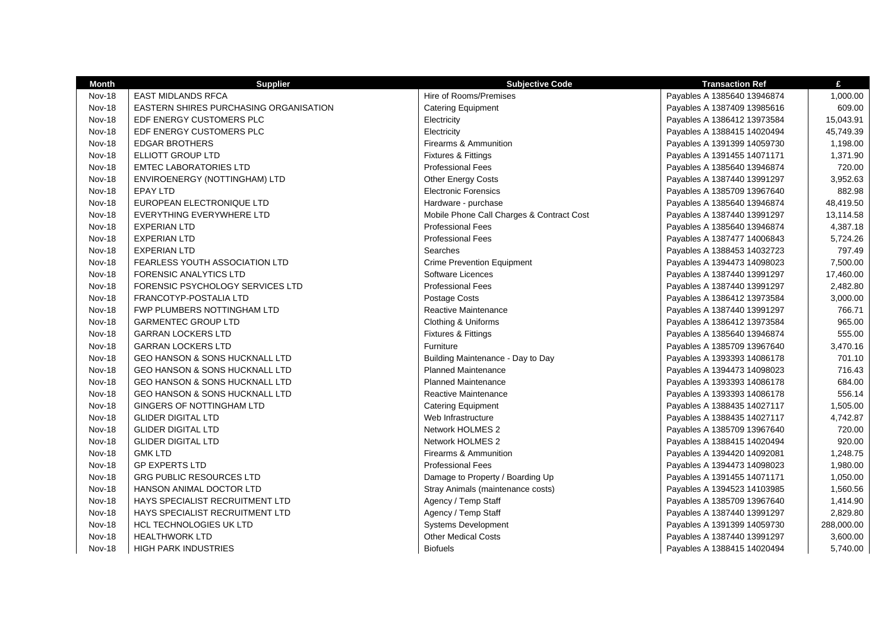| <b>Month</b>  | <b>Supplier</b>                           | <b>Subjective Code</b>                    | <b>Transaction Ref</b>      | £          |
|---------------|-------------------------------------------|-------------------------------------------|-----------------------------|------------|
| <b>Nov-18</b> | <b>EAST MIDLANDS RFCA</b>                 | Hire of Rooms/Premises                    | Payables A 1385640 13946874 | 1,000.00   |
| <b>Nov-18</b> | EASTERN SHIRES PURCHASING ORGANISATION    | <b>Catering Equipment</b>                 | Payables A 1387409 13985616 | 609.00     |
| <b>Nov-18</b> | EDF ENERGY CUSTOMERS PLC                  | Electricity                               | Payables A 1386412 13973584 | 15,043.91  |
| <b>Nov-18</b> | EDF ENERGY CUSTOMERS PLC                  | Electricity                               | Payables A 1388415 14020494 | 45,749.39  |
| Nov-18        | <b>EDGAR BROTHERS</b>                     | Firearms & Ammunition                     | Payables A 1391399 14059730 | 1,198.00   |
| <b>Nov-18</b> | ELLIOTT GROUP LTD                         | Fixtures & Fittings                       | Payables A 1391455 14071171 | 1,371.90   |
| <b>Nov-18</b> | <b>EMTEC LABORATORIES LTD</b>             | <b>Professional Fees</b>                  | Payables A 1385640 13946874 | 720.00     |
| <b>Nov-18</b> | ENVIROENERGY (NOTTINGHAM) LTD             | <b>Other Energy Costs</b>                 | Payables A 1387440 13991297 | 3,952.63   |
| <b>Nov-18</b> | <b>EPAY LTD</b>                           | <b>Electronic Forensics</b>               | Payables A 1385709 13967640 | 882.98     |
| <b>Nov-18</b> | EUROPEAN ELECTRONIQUE LTD                 | Hardware - purchase                       | Payables A 1385640 13946874 | 48,419.50  |
| <b>Nov-18</b> | EVERYTHING EVERYWHERE LTD                 | Mobile Phone Call Charges & Contract Cost | Payables A 1387440 13991297 | 13,114.58  |
| Nov-18        | <b>EXPERIAN LTD</b>                       | <b>Professional Fees</b>                  | Payables A 1385640 13946874 | 4,387.18   |
| <b>Nov-18</b> | <b>EXPERIAN LTD</b>                       | <b>Professional Fees</b>                  | Payables A 1387477 14006843 | 5,724.26   |
| <b>Nov-18</b> | <b>EXPERIAN LTD</b>                       | Searches                                  | Payables A 1388453 14032723 | 797.49     |
| <b>Nov-18</b> | <b>FEARLESS YOUTH ASSOCIATION LTD</b>     | <b>Crime Prevention Equipment</b>         | Payables A 1394473 14098023 | 7,500.00   |
| <b>Nov-18</b> | <b>FORENSIC ANALYTICS LTD</b>             | Software Licences                         | Payables A 1387440 13991297 | 17,460.00  |
| <b>Nov-18</b> | FORENSIC PSYCHOLOGY SERVICES LTD          | <b>Professional Fees</b>                  | Payables A 1387440 13991297 | 2,482.80   |
| <b>Nov-18</b> | FRANCOTYP-POSTALIA LTD                    | Postage Costs                             | Payables A 1386412 13973584 | 3,000.00   |
| Nov-18        | <b>FWP PLUMBERS NOTTINGHAM LTD</b>        | Reactive Maintenance                      | Payables A 1387440 13991297 | 766.71     |
| <b>Nov-18</b> | <b>GARMENTEC GROUP LTD</b>                | Clothing & Uniforms                       | Payables A 1386412 13973584 | 965.00     |
| <b>Nov-18</b> | <b>GARRAN LOCKERS LTD</b>                 | Fixtures & Fittings                       | Payables A 1385640 13946874 | 555.00     |
| <b>Nov-18</b> | <b>GARRAN LOCKERS LTD</b>                 | Furniture                                 | Payables A 1385709 13967640 | 3,470.16   |
| <b>Nov-18</b> | <b>GEO HANSON &amp; SONS HUCKNALL LTD</b> | Building Maintenance - Day to Day         | Payables A 1393393 14086178 | 701.10     |
| <b>Nov-18</b> | <b>GEO HANSON &amp; SONS HUCKNALL LTD</b> | <b>Planned Maintenance</b>                | Payables A 1394473 14098023 | 716.43     |
| <b>Nov-18</b> | <b>GEO HANSON &amp; SONS HUCKNALL LTD</b> | <b>Planned Maintenance</b>                | Payables A 1393393 14086178 | 684.00     |
| <b>Nov-18</b> | GEO HANSON & SONS HUCKNALL LTD            | Reactive Maintenance                      | Payables A 1393393 14086178 | 556.14     |
| <b>Nov-18</b> | GINGERS OF NOTTINGHAM LTD                 | <b>Catering Equipment</b>                 | Payables A 1388435 14027117 | 1,505.00   |
| Nov-18        | <b>GLIDER DIGITAL LTD</b>                 | Web Infrastructure                        | Payables A 1388435 14027117 | 4,742.87   |
| <b>Nov-18</b> | <b>GLIDER DIGITAL LTD</b>                 | Network HOLMES 2                          | Payables A 1385709 13967640 | 720.00     |
| <b>Nov-18</b> | <b>GLIDER DIGITAL LTD</b>                 | Network HOLMES 2                          | Payables A 1388415 14020494 | 920.00     |
| <b>Nov-18</b> | <b>GMK LTD</b>                            | Firearms & Ammunition                     | Payables A 1394420 14092081 | 1,248.75   |
| <b>Nov-18</b> | <b>GP EXPERTS LTD</b>                     | <b>Professional Fees</b>                  | Payables A 1394473 14098023 | 1,980.00   |
| <b>Nov-18</b> | <b>GRG PUBLIC RESOURCES LTD</b>           | Damage to Property / Boarding Up          | Payables A 1391455 14071171 | 1,050.00   |
| <b>Nov-18</b> | HANSON ANIMAL DOCTOR LTD                  | Stray Animals (maintenance costs)         | Payables A 1394523 14103985 | 1,560.56   |
| <b>Nov-18</b> | HAYS SPECIALIST RECRUITMENT LTD           | Agency / Temp Staff                       | Payables A 1385709 13967640 | 1,414.90   |
| <b>Nov-18</b> | HAYS SPECIALIST RECRUITMENT LTD           | Agency / Temp Staff                       | Payables A 1387440 13991297 | 2,829.80   |
| <b>Nov-18</b> | <b>HCL TECHNOLOGIES UK LTD</b>            | <b>Systems Development</b>                | Payables A 1391399 14059730 | 288,000.00 |
| <b>Nov-18</b> | <b>HEALTHWORK LTD</b>                     | <b>Other Medical Costs</b>                | Payables A 1387440 13991297 | 3,600.00   |
| <b>Nov-18</b> | <b>HIGH PARK INDUSTRIES</b>               | <b>Biofuels</b>                           | Payables A 1388415 14020494 | 5,740.00   |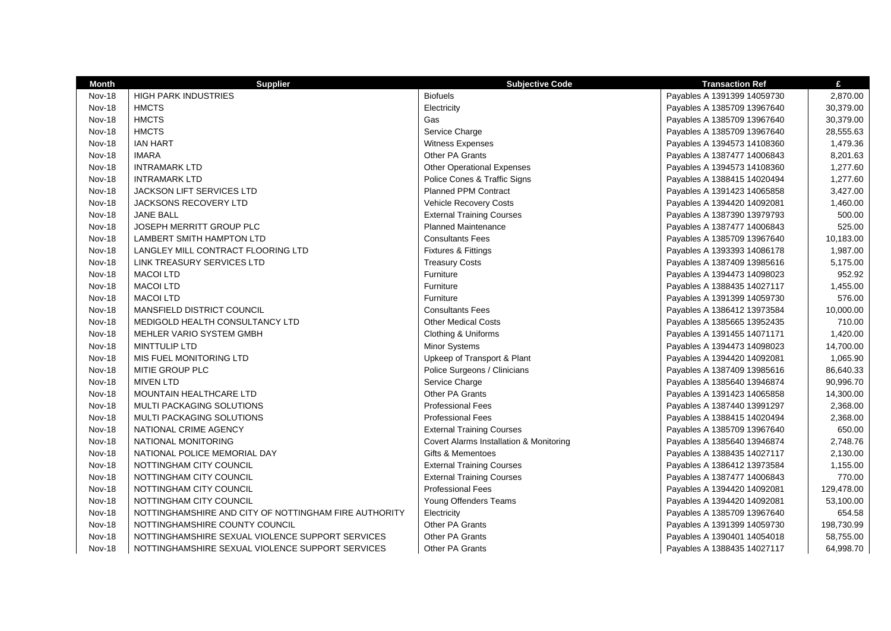| <b>Month</b>  | <b>Supplier</b>                                       | <b>Subjective Code</b>                  | <b>Transaction Ref</b>      | £          |
|---------------|-------------------------------------------------------|-----------------------------------------|-----------------------------|------------|
| <b>Nov-18</b> | <b>HIGH PARK INDUSTRIES</b>                           | <b>Biofuels</b>                         | Payables A 1391399 14059730 | 2,870.00   |
| Nov-18        | <b>HMCTS</b>                                          | Electricity                             | Payables A 1385709 13967640 | 30,379.00  |
| <b>Nov-18</b> | <b>HMCTS</b>                                          | Gas                                     | Payables A 1385709 13967640 | 30,379.00  |
| <b>Nov-18</b> | <b>HMCTS</b>                                          | Service Charge                          | Payables A 1385709 13967640 | 28,555.63  |
| <b>Nov-18</b> | <b>IAN HART</b>                                       | Witness Expenses                        | Payables A 1394573 14108360 | 1,479.36   |
| <b>Nov-18</b> | <b>IMARA</b>                                          | Other PA Grants                         | Payables A 1387477 14006843 | 8,201.63   |
| <b>Nov-18</b> | <b>INTRAMARK LTD</b>                                  | <b>Other Operational Expenses</b>       | Payables A 1394573 14108360 | 1,277.60   |
| <b>Nov-18</b> | <b>INTRAMARK LTD</b>                                  | Police Cones & Traffic Signs            | Payables A 1388415 14020494 | 1,277.60   |
| <b>Nov-18</b> | <b>JACKSON LIFT SERVICES LTD</b>                      | <b>Planned PPM Contract</b>             | Payables A 1391423 14065858 | 3,427.00   |
| <b>Nov-18</b> | <b>JACKSONS RECOVERY LTD</b>                          | <b>Vehicle Recovery Costs</b>           | Payables A 1394420 14092081 | 1,460.00   |
| <b>Nov-18</b> | <b>JANE BALL</b>                                      | <b>External Training Courses</b>        | Payables A 1387390 13979793 | 500.00     |
| <b>Nov-18</b> | JOSEPH MERRITT GROUP PLC                              | <b>Planned Maintenance</b>              | Payables A 1387477 14006843 | 525.00     |
| <b>Nov-18</b> | LAMBERT SMITH HAMPTON LTD                             | <b>Consultants Fees</b>                 | Payables A 1385709 13967640 | 10,183.00  |
| <b>Nov-18</b> | LANGLEY MILL CONTRACT FLOORING LTD                    | Fixtures & Fittings                     | Payables A 1393393 14086178 | 1,987.00   |
| <b>Nov-18</b> | LINK TREASURY SERVICES LTD                            | <b>Treasury Costs</b>                   | Payables A 1387409 13985616 | 5,175.00   |
| <b>Nov-18</b> | <b>MACOI LTD</b>                                      | Furniture                               | Payables A 1394473 14098023 | 952.92     |
| <b>Nov-18</b> | <b>MACOI LTD</b>                                      | Furniture                               | Payables A 1388435 14027117 | 1,455.00   |
| <b>Nov-18</b> | <b>MACOI LTD</b>                                      | Furniture                               | Payables A 1391399 14059730 | 576.00     |
| <b>Nov-18</b> | MANSFIELD DISTRICT COUNCIL                            | <b>Consultants Fees</b>                 | Payables A 1386412 13973584 | 10,000.00  |
| Nov-18        | MEDIGOLD HEALTH CONSULTANCY LTD                       | <b>Other Medical Costs</b>              | Payables A 1385665 13952435 | 710.00     |
| <b>Nov-18</b> | MEHLER VARIO SYSTEM GMBH                              | Clothing & Uniforms                     | Payables A 1391455 14071171 | 1,420.00   |
| <b>Nov-18</b> | <b>MINTTULIP LTD</b>                                  | <b>Minor Systems</b>                    | Payables A 1394473 14098023 | 14,700.00  |
| <b>Nov-18</b> | MIS FUEL MONITORING LTD                               | Upkeep of Transport & Plant             | Payables A 1394420 14092081 | 1,065.90   |
| <b>Nov-18</b> | MITIE GROUP PLC                                       | Police Surgeons / Clinicians            | Payables A 1387409 13985616 | 86,640.33  |
| <b>Nov-18</b> | <b>MIVEN LTD</b>                                      | Service Charge                          | Payables A 1385640 13946874 | 90,996.70  |
| <b>Nov-18</b> | <b>MOUNTAIN HEALTHCARE LTD</b>                        | Other PA Grants                         | Payables A 1391423 14065858 | 14,300.00  |
| <b>Nov-18</b> | <b>MULTI PACKAGING SOLUTIONS</b>                      | <b>Professional Fees</b>                | Payables A 1387440 13991297 | 2,368.00   |
| <b>Nov-18</b> | <b>MULTI PACKAGING SOLUTIONS</b>                      | <b>Professional Fees</b>                | Payables A 1388415 14020494 | 2,368.00   |
| Nov-18        | NATIONAL CRIME AGENCY                                 | <b>External Training Courses</b>        | Payables A 1385709 13967640 | 650.00     |
| Nov-18        | NATIONAL MONITORING                                   | Covert Alarms Installation & Monitoring | Payables A 1385640 13946874 | 2,748.76   |
| <b>Nov-18</b> | NATIONAL POLICE MEMORIAL DAY                          | Gifts & Mementoes                       | Payables A 1388435 14027117 | 2,130.00   |
| <b>Nov-18</b> | NOTTINGHAM CITY COUNCIL                               | <b>External Training Courses</b>        | Payables A 1386412 13973584 | 1,155.00   |
| <b>Nov-18</b> | NOTTINGHAM CITY COUNCIL                               | <b>External Training Courses</b>        | Payables A 1387477 14006843 | 770.00     |
| <b>Nov-18</b> | NOTTINGHAM CITY COUNCIL                               | <b>Professional Fees</b>                | Payables A 1394420 14092081 | 129,478.00 |
| <b>Nov-18</b> | NOTTINGHAM CITY COUNCIL                               | Young Offenders Teams                   | Payables A 1394420 14092081 | 53,100.00  |
| <b>Nov-18</b> | NOTTINGHAMSHIRE AND CITY OF NOTTINGHAM FIRE AUTHORITY | Electricity                             | Payables A 1385709 13967640 | 654.58     |
| <b>Nov-18</b> | NOTTINGHAMSHIRE COUNTY COUNCIL                        | Other PA Grants                         | Payables A 1391399 14059730 | 198,730.99 |
| <b>Nov-18</b> | NOTTINGHAMSHIRE SEXUAL VIOLENCE SUPPORT SERVICES      | Other PA Grants                         | Payables A 1390401 14054018 | 58,755.00  |
| <b>Nov-18</b> | NOTTINGHAMSHIRE SEXUAL VIOLENCE SUPPORT SERVICES      | <b>Other PA Grants</b>                  | Payables A 1388435 14027117 | 64,998.70  |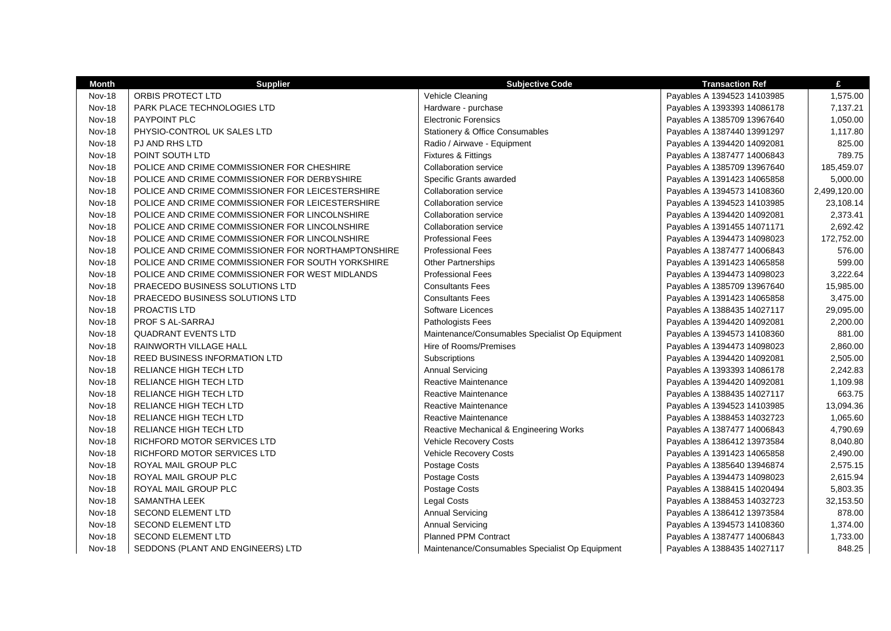| <b>Month</b>  | <b>Supplier</b>                                    | <b>Subjective Code</b>                          | <b>Transaction Ref</b>      | £            |
|---------------|----------------------------------------------------|-------------------------------------------------|-----------------------------|--------------|
| <b>Nov-18</b> | ORBIS PROTECT LTD                                  | Vehicle Cleaning                                | Payables A 1394523 14103985 | 1,575.00     |
| <b>Nov-18</b> | PARK PLACE TECHNOLOGIES LTD                        | Hardware - purchase                             | Payables A 1393393 14086178 | 7,137.21     |
| <b>Nov-18</b> | <b>PAYPOINT PLC</b>                                | <b>Electronic Forensics</b>                     | Payables A 1385709 13967640 | 1,050.00     |
| <b>Nov-18</b> | PHYSIO-CONTROL UK SALES LTD                        | <b>Stationery &amp; Office Consumables</b>      | Payables A 1387440 13991297 | 1,117.80     |
| <b>Nov-18</b> | PJ AND RHS LTD                                     | Radio / Airwave - Equipment                     | Payables A 1394420 14092081 | 825.00       |
| <b>Nov-18</b> | POINT SOUTH LTD                                    | Fixtures & Fittings                             | Payables A 1387477 14006843 | 789.75       |
| <b>Nov-18</b> | POLICE AND CRIME COMMISSIONER FOR CHESHIRE         | Collaboration service                           | Payables A 1385709 13967640 | 185,459.07   |
| <b>Nov-18</b> | POLICE AND CRIME COMMISSIONER FOR DERBYSHIRE       | Specific Grants awarded                         | Payables A 1391423 14065858 | 5,000.00     |
| <b>Nov-18</b> | POLICE AND CRIME COMMISSIONER FOR LEICESTERSHIRE   | <b>Collaboration service</b>                    | Payables A 1394573 14108360 | 2,499,120.00 |
| <b>Nov-18</b> | POLICE AND CRIME COMMISSIONER FOR LEICESTERSHIRE   | <b>Collaboration service</b>                    | Payables A 1394523 14103985 | 23,108.14    |
| <b>Nov-18</b> | POLICE AND CRIME COMMISSIONER FOR LINCOLNSHIRE     | Collaboration service                           | Payables A 1394420 14092081 | 2,373.41     |
| Nov-18        | POLICE AND CRIME COMMISSIONER FOR LINCOLNSHIRE     | Collaboration service                           | Payables A 1391455 14071171 | 2,692.42     |
| <b>Nov-18</b> | POLICE AND CRIME COMMISSIONER FOR LINCOLNSHIRE     | <b>Professional Fees</b>                        | Payables A 1394473 14098023 | 172,752.00   |
| <b>Nov-18</b> | POLICE AND CRIME COMMISSIONER FOR NORTHAMPTONSHIRE | <b>Professional Fees</b>                        | Payables A 1387477 14006843 | 576.00       |
| <b>Nov-18</b> | POLICE AND CRIME COMMISSIONER FOR SOUTH YORKSHIRE  | <b>Other Partnerships</b>                       | Payables A 1391423 14065858 | 599.00       |
| <b>Nov-18</b> | POLICE AND CRIME COMMISSIONER FOR WEST MIDLANDS    | <b>Professional Fees</b>                        | Payables A 1394473 14098023 | 3,222.64     |
| <b>Nov-18</b> | PRAECEDO BUSINESS SOLUTIONS LTD                    | <b>Consultants Fees</b>                         | Payables A 1385709 13967640 | 15,985.00    |
| <b>Nov-18</b> | PRAECEDO BUSINESS SOLUTIONS LTD                    | <b>Consultants Fees</b>                         | Payables A 1391423 14065858 | 3,475.00     |
| <b>Nov-18</b> | PROACTIS LTD                                       | Software Licences                               | Payables A 1388435 14027117 | 29,095.00    |
| <b>Nov-18</b> | <b>PROF S AL-SARRAJ</b>                            | Pathologists Fees                               | Payables A 1394420 14092081 | 2,200.00     |
| Nov-18        | <b>QUADRANT EVENTS LTD</b>                         | Maintenance/Consumables Specialist Op Equipment | Payables A 1394573 14108360 | 881.00       |
| <b>Nov-18</b> | RAINWORTH VILLAGE HALL                             | Hire of Rooms/Premises                          | Payables A 1394473 14098023 | 2,860.00     |
| <b>Nov-18</b> | REED BUSINESS INFORMATION LTD                      | Subscriptions                                   | Payables A 1394420 14092081 | 2,505.00     |
| <b>Nov-18</b> | RELIANCE HIGH TECH LTD                             | <b>Annual Servicing</b>                         | Payables A 1393393 14086178 | 2,242.83     |
| Nov-18        | RELIANCE HIGH TECH LTD                             | Reactive Maintenance                            | Payables A 1394420 14092081 | 1,109.98     |
| <b>Nov-18</b> | RELIANCE HIGH TECH LTD                             | <b>Reactive Maintenance</b>                     | Payables A 1388435 14027117 | 663.75       |
| <b>Nov-18</b> | RELIANCE HIGH TECH LTD                             | <b>Reactive Maintenance</b>                     | Payables A 1394523 14103985 | 13,094.36    |
| <b>Nov-18</b> | RELIANCE HIGH TECH LTD                             | <b>Reactive Maintenance</b>                     | Payables A 1388453 14032723 | 1,065.60     |
| Nov-18        | RELIANCE HIGH TECH LTD                             | Reactive Mechanical & Engineering Works         | Payables A 1387477 14006843 | 4,790.69     |
| <b>Nov-18</b> | RICHFORD MOTOR SERVICES LTD                        | Vehicle Recovery Costs                          | Payables A 1386412 13973584 | 8,040.80     |
| <b>Nov-18</b> | RICHFORD MOTOR SERVICES LTD                        | Vehicle Recovery Costs                          | Payables A 1391423 14065858 | 2,490.00     |
| <b>Nov-18</b> | ROYAL MAIL GROUP PLC                               | Postage Costs                                   | Payables A 1385640 13946874 | 2,575.15     |
| <b>Nov-18</b> | ROYAL MAIL GROUP PLC                               | Postage Costs                                   | Payables A 1394473 14098023 | 2,615.94     |
| Nov-18        | ROYAL MAIL GROUP PLC                               | Postage Costs                                   | Payables A 1388415 14020494 | 5,803.35     |
| <b>Nov-18</b> | SAMANTHA LEEK                                      | <b>Legal Costs</b>                              | Payables A 1388453 14032723 | 32,153.50    |
| <b>Nov-18</b> | <b>SECOND ELEMENT LTD</b>                          | <b>Annual Servicing</b>                         | Payables A 1386412 13973584 | 878.00       |
| <b>Nov-18</b> | <b>SECOND ELEMENT LTD</b>                          | <b>Annual Servicing</b>                         | Payables A 1394573 14108360 | 1,374.00     |
| <b>Nov-18</b> | <b>SECOND ELEMENT LTD</b>                          | <b>Planned PPM Contract</b>                     | Payables A 1387477 14006843 | 1,733.00     |
| Nov-18        | SEDDONS (PLANT AND ENGINEERS) LTD                  | Maintenance/Consumables Specialist Op Equipment | Payables A 1388435 14027117 | 848.25       |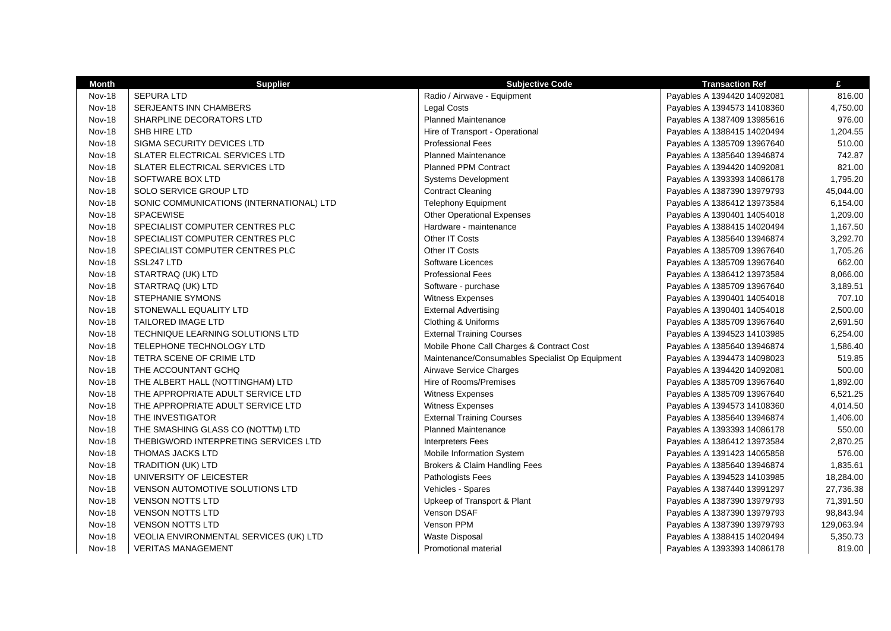| <b>Month</b>  | <b>Supplier</b>                          | <b>Subjective Code</b>                          | <b>Transaction Ref</b>      | £          |
|---------------|------------------------------------------|-------------------------------------------------|-----------------------------|------------|
| <b>Nov-18</b> | <b>SEPURA LTD</b>                        | Radio / Airwave - Equipment                     | Payables A 1394420 14092081 | 816.00     |
| <b>Nov-18</b> | <b>SERJEANTS INN CHAMBERS</b>            | <b>Legal Costs</b>                              | Payables A 1394573 14108360 | 4,750.00   |
| <b>Nov-18</b> | SHARPLINE DECORATORS LTD                 | <b>Planned Maintenance</b>                      | Payables A 1387409 13985616 | 976.00     |
| <b>Nov-18</b> | SHB HIRE LTD                             | Hire of Transport - Operational                 | Payables A 1388415 14020494 | 1,204.55   |
| <b>Nov-18</b> | SIGMA SECURITY DEVICES LTD               | <b>Professional Fees</b>                        | Payables A 1385709 13967640 | 510.00     |
| Nov-18        | SLATER ELECTRICAL SERVICES LTD           | <b>Planned Maintenance</b>                      | Payables A 1385640 13946874 | 742.87     |
| <b>Nov-18</b> | SLATER ELECTRICAL SERVICES LTD           | <b>Planned PPM Contract</b>                     | Payables A 1394420 14092081 | 821.00     |
| <b>Nov-18</b> | SOFTWARE BOX LTD                         | <b>Systems Development</b>                      | Payables A 1393393 14086178 | 1,795.20   |
| <b>Nov-18</b> | SOLO SERVICE GROUP LTD                   | <b>Contract Cleaning</b>                        | Payables A 1387390 13979793 | 45,044.00  |
| <b>Nov-18</b> | SONIC COMMUNICATIONS (INTERNATIONAL) LTD | <b>Telephony Equipment</b>                      | Payables A 1386412 13973584 | 6,154.00   |
| <b>Nov-18</b> | <b>SPACEWISE</b>                         | <b>Other Operational Expenses</b>               | Payables A 1390401 14054018 | 1,209.00   |
| <b>Nov-18</b> | SPECIALIST COMPUTER CENTRES PLC          | Hardware - maintenance                          | Payables A 1388415 14020494 | 1,167.50   |
| Nov-18        | SPECIALIST COMPUTER CENTRES PLC          | Other IT Costs                                  | Payables A 1385640 13946874 | 3,292.70   |
| <b>Nov-18</b> | SPECIALIST COMPUTER CENTRES PLC          | Other IT Costs                                  | Payables A 1385709 13967640 | 1,705.26   |
| <b>Nov-18</b> | SSL247 LTD                               | Software Licences                               | Payables A 1385709 13967640 | 662.00     |
| <b>Nov-18</b> | STARTRAQ (UK) LTD                        | <b>Professional Fees</b>                        | Payables A 1386412 13973584 | 8,066.00   |
| <b>Nov-18</b> | STARTRAQ (UK) LTD                        | Software - purchase                             | Payables A 1385709 13967640 | 3,189.51   |
| <b>Nov-18</b> | STEPHANIE SYMONS                         | Witness Expenses                                | Payables A 1390401 14054018 | 707.10     |
| <b>Nov-18</b> | STONEWALL EQUALITY LTD                   | <b>External Advertising</b>                     | Payables A 1390401 14054018 | 2,500.00   |
| <b>Nov-18</b> | <b>TAILORED IMAGE LTD</b>                | Clothing & Uniforms                             | Payables A 1385709 13967640 | 2,691.50   |
| <b>Nov-18</b> | TECHNIQUE LEARNING SOLUTIONS LTD         | <b>External Training Courses</b>                | Payables A 1394523 14103985 | 6,254.00   |
| Nov-18        | TELEPHONE TECHNOLOGY LTD                 | Mobile Phone Call Charges & Contract Cost       | Payables A 1385640 13946874 | 1,586.40   |
| <b>Nov-18</b> | TETRA SCENE OF CRIME LTD                 | Maintenance/Consumables Specialist Op Equipment | Payables A 1394473 14098023 | 519.85     |
| <b>Nov-18</b> | THE ACCOUNTANT GCHQ                      | Airwave Service Charges                         | Payables A 1394420 14092081 | 500.00     |
| <b>Nov-18</b> | THE ALBERT HALL (NOTTINGHAM) LTD         | Hire of Rooms/Premises                          | Payables A 1385709 13967640 | 1,892.00   |
| <b>Nov-18</b> | THE APPROPRIATE ADULT SERVICE LTD        | Witness Expenses                                | Payables A 1385709 13967640 | 6,521.25   |
| Nov-18        | THE APPROPRIATE ADULT SERVICE LTD        | Witness Expenses                                | Payables A 1394573 14108360 | 4,014.50   |
| <b>Nov-18</b> | THE INVESTIGATOR                         | <b>External Training Courses</b>                | Payables A 1385640 13946874 | 1,406.00   |
| <b>Nov-18</b> | THE SMASHING GLASS CO (NOTTM) LTD        | <b>Planned Maintenance</b>                      | Payables A 1393393 14086178 | 550.00     |
| <b>Nov-18</b> | THEBIGWORD INTERPRETING SERVICES LTD     | <b>Interpreters Fees</b>                        | Payables A 1386412 13973584 | 2,870.25   |
| <b>Nov-18</b> | THOMAS JACKS LTD                         | Mobile Information System                       | Payables A 1391423 14065858 | 576.00     |
| <b>Nov-18</b> | TRADITION (UK) LTD                       | Brokers & Claim Handling Fees                   | Payables A 1385640 13946874 | 1,835.61   |
| <b>Nov-18</b> | UNIVERSITY OF LEICESTER                  | Pathologists Fees                               | Payables A 1394523 14103985 | 18,284.00  |
| Nov-18        | <b>VENSON AUTOMOTIVE SOLUTIONS LTD</b>   | Vehicles - Spares                               | Payables A 1387440 13991297 | 27,736.38  |
| <b>Nov-18</b> | <b>VENSON NOTTS LTD</b>                  | Upkeep of Transport & Plant                     | Payables A 1387390 13979793 | 71,391.50  |
| <b>Nov-18</b> | <b>VENSON NOTTS LTD</b>                  | Venson DSAF                                     | Payables A 1387390 13979793 | 98,843.94  |
| <b>Nov-18</b> | <b>VENSON NOTTS LTD</b>                  | Venson PPM                                      | Payables A 1387390 13979793 | 129,063.94 |
| <b>Nov-18</b> | VEOLIA ENVIRONMENTAL SERVICES (UK) LTD   | <b>Waste Disposal</b>                           | Payables A 1388415 14020494 | 5,350.73   |
| Nov-18        | <b>VERITAS MANAGEMENT</b>                | Promotional material                            | Payables A 1393393 14086178 | 819.00     |